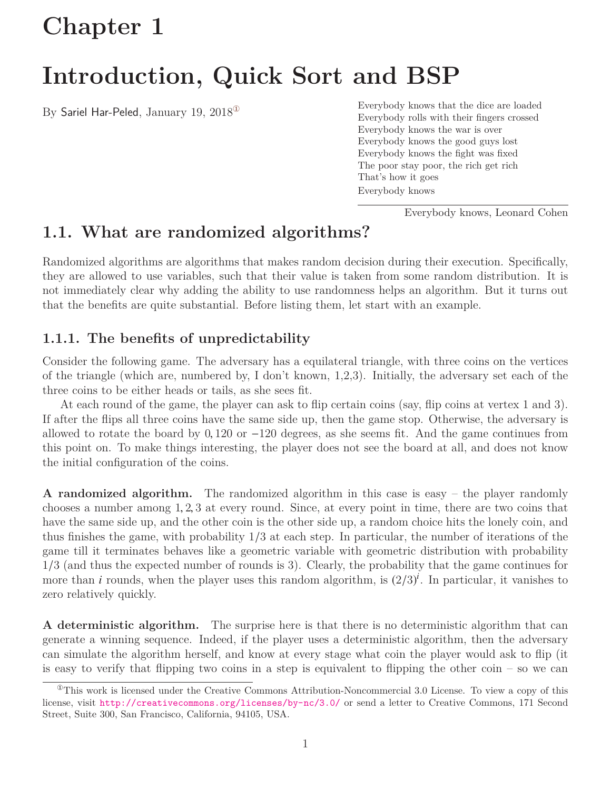# **Chapter 1**

# **Introduction, Quick Sort and BSP**

By Sariel Har-Peled, January  $19, 2018^{\circ}$  Everybody knows that the dice are loaded Everybody knows that the dice are loaded Everybody rolls with their fingers crossed Everybody knows the war is over Everybody knows the good guys lost Everybody knows the fight was fixed The poor stay poor, the rich get rich That's how it goes Everybody knows

Everybody knows, Leonard Cohen

## **1.1. What are randomized algorithms?**

Randomized algorithms are algorithms that makes random decision during their execution. Specifically, they are allowed to use variables, such that their value is taken from some random distribution. It is not immediately clear why adding the ability to use randomness helps an algorithm. But it turns out that the benefits are quite substantial. Before listing them, let start with an example.

## **1.1.1. The benefits of unpredictability**

Consider the following game. The adversary has a equilateral triangle, with three coins on the vertices of the triangle (which are, numbered by, I don't known, 1,2,3). Initially, the adversary set each of the three coins to be either heads or tails, as she sees fit.

At each round of the game, the player can ask to flip certain coins (say, flip coins at vertex 1 and 3). If after the flips all three coins have the same side up, then the game stop. Otherwise, the adversary is allowed to rotate the board by <sup>0</sup>, <sup>120</sup> or <sup>−</sup><sup>120</sup> degrees, as she seems fit. And the game continues from this point on. To make things interesting, the player does not see the board at all, and does not know the initial configuration of the coins.

**A randomized algorithm.** The randomized algorithm in this case is easy – the player randomly chooses a number among <sup>1</sup>, <sup>2</sup>, <sup>3</sup> at every round. Since, at every point in time, there are two coins that have the same side up, and the other coin is the other side up, a random choice hits the lonely coin, and thus finishes the game, with probability 1/3 at each step. In particular, the number of iterations of the game till it terminates behaves like a geometric variable with geometric distribution with probability 1/3 (and thus the expected number of rounds is 3). Clearly, the probability that the game continues for more than *i* rounds, when the player uses this random algorithm, is  $(2/3)^i$ . In particular, it vanishes to zero relatively quickly.

**A deterministic algorithm.** The surprise here is that there is no deterministic algorithm that can generate a winning sequence. Indeed, if the player uses a deterministic algorithm, then the adversary can simulate the algorithm herself, and know at every stage what coin the player would ask to flip (it is easy to verify that flipping two coins in a step is equivalent to flipping the other coin – so we can

<span id="page-0-0"></span> ${}^{\circ}$ This work is licensed under the Creative Commons Attribution-Noncommercial 3.0 License. To view a copy of this license, visit <http://creativecommons.org/licenses/by-nc/3.0/> or send a letter to Creative Commons, 171 Second Street, Suite 300, San Francisco, California, 94105, USA.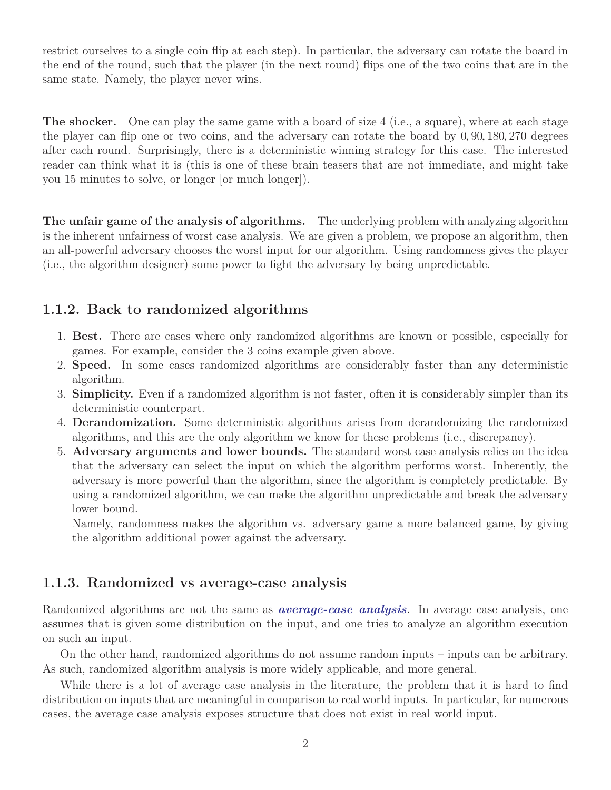restrict ourselves to a single coin flip at each step). In particular, the adversary can rotate the board in the end of the round, such that the player (in the next round) flips one of the two coins that are in the same state. Namely, the player never wins.

**The shocker.** One can play the same game with a board of size 4 (i.e., a square), where at each stage the player can flip one or two coins, and the adversary can rotate the board by <sup>0</sup>, <sup>90</sup>, <sup>180</sup>, <sup>270</sup> degrees after each round. Surprisingly, there is a deterministic winning strategy for this case. The interested reader can think what it is (this is one of these brain teasers that are not immediate, and might take you 15 minutes to solve, or longer [or much longer]).

**The unfair game of the analysis of algorithms.** The underlying problem with analyzing algorithm is the inherent unfairness of worst case analysis. We are given a problem, we propose an algorithm, then an all-powerful adversary chooses the worst input for our algorithm. Using randomness gives the player (i.e., the algorithm designer) some power to fight the adversary by being unpredictable.

### **1.1.2. Back to randomized algorithms**

- 1. **Best.** There are cases where only randomized algorithms are known or possible, especially for games. For example, consider the 3 coins example given above.
- 2. **Speed.** In some cases randomized algorithms are considerably faster than any deterministic algorithm.
- 3. **Simplicity.** Even if a randomized algorithm is not faster, often it is considerably simpler than its deterministic counterpart.
- 4. **Derandomization.** Some deterministic algorithms arises from derandomizing the randomized algorithms, and this are the only algorithm we know for these problems (i.e., discrepancy).
- 5. **Adversary arguments and lower bounds.** The standard worst case analysis relies on the idea that the adversary can select the input on which the algorithm performs worst. Inherently, the adversary is more powerful than the algorithm, since the algorithm is completely predictable. By using a randomized algorithm, we can make the algorithm unpredictable and break the adversary lower bound.

Namely, randomness makes the algorithm vs. adversary game a more balanced game, by giving the algorithm additional power against the adversary.

### **1.1.3. Randomized vs average-case analysis**

Randomized algorithms are not the same as *average-case analysis*. In average case analysis, one assumes that is given some distribution on the input, and one tries to analyze an algorithm execution on such an input.

On the other hand, randomized algorithms do not assume random inputs – inputs can be arbitrary. As such, randomized algorithm analysis is more widely applicable, and more general.

While there is a lot of average case analysis in the literature, the problem that it is hard to find distribution on inputs that are meaningful in comparison to real world inputs. In particular, for numerous cases, the average case analysis exposes structure that does not exist in real world input.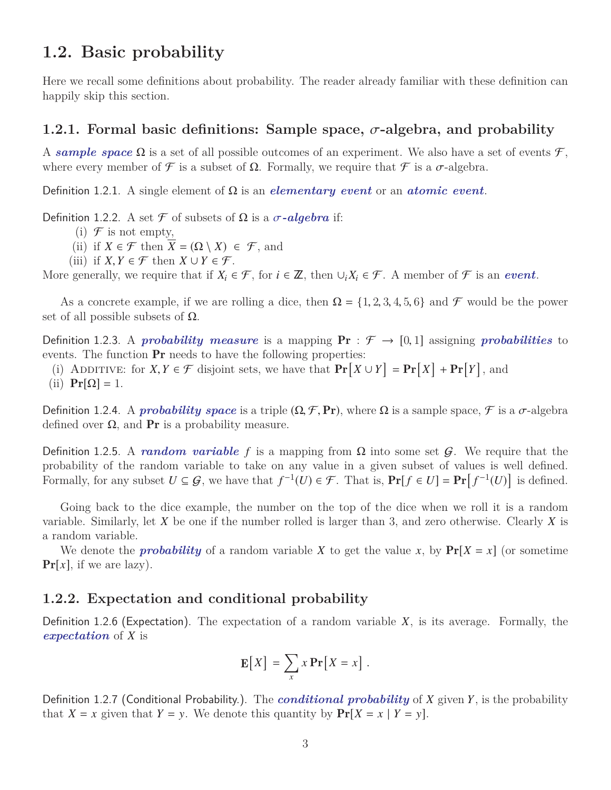## **1.2. Basic probability**

Here we recall some definitions about probability. The reader already familiar with these definition can happily skip this section.

#### **1.2.1. Formal basic definitions: Sample space,** σ**-algebra, and probability**

A **sample space**  $\Omega$  is a set of all possible outcomes of an experiment. We also have a set of events  $\mathcal{F}$ , where every member of  $\mathcal F$  is a subset of  $\Omega$ . Formally, we require that  $\mathcal F$  is a  $\sigma$ -algebra.

Definition 1.2.1. A single element of  $\Omega$  is an *elementary event* or an *atomic event*.

Definition 1.2.2. A set *F* of subsets of Ω is a  $\sigma$ -algebra if:

- (i)  $\mathcal F$  is not empty,
- (ii) if  $X \in \mathcal{F}$  then  $\overline{X} = (\Omega \setminus X) \in \mathcal{F}$ , and
- (iii) if  $X, Y \in \mathcal{F}$  then  $X \cup Y \in \mathcal{F}$ .

More generally, we require that if  $X_i \in \mathcal{F}$ , for  $i \in \mathbb{Z}$ , then  $\cup_i X_i \in \mathcal{F}$ . A member of  $\mathcal{F}$  is an *event*.

As a concrete example, if we are rolling a dice, then  $\Omega = \{1, 2, 3, 4, 5, 6\}$  and F would be the power set of all possible subsets of  $\Omega$ .

Definition 1.2.3. A *probability measure* is a mapping  $\Pr : \mathcal{F} \to [0,1]$  assigning *probabilities* to events. The function Pr needs to have the following properties:

- (i) ADDITIVE: for *X*, *Y*  $\in \mathcal{F}$  disjoint sets, we have that  $\Pr[X \cup Y] = \Pr[X] + \Pr[Y]$ , and <br>(ii)  $\Pr[O] = 1$
- (ii)  $Pr[\Omega] = 1$ .

Definition 1.2.4. A *probability space* is a triple  $(\Omega, \mathcal{F}, Pr)$ , where  $\Omega$  is a sample space,  $\mathcal{F}$  is a  $\sigma$ -algebra defined over  $\Omega$ , and **Pr** is a probability measure.

Definition 1.2.5. A *random variable* f is a mapping from  $\Omega$  into some set  $\mathcal{G}$ . We require that the probability of the random variable to take on any value in a given subset of values is well defined. Formally, for any subset  $U \subseteq G$ , we have that  $f^{-1}(U) \in \mathcal{F}$ . That is,  $\Pr[f \in U] = \Pr[f^{-1}(U)]$  is defined.

Going back to the dice example, the number on the top of the dice when we roll it is a random variable. Similarly, let *X* be one if the number rolled is larger than 3, and zero otherwise. Clearly *X* is a random variable.

We denote the *probability* of a random variable *X* to get the value *x*, by  $Pr[X = x]$  (or sometime  $Pr[x]$ , if we are lazy).

#### **1.2.2. Expectation and conditional probability**

Definition 1.2.6 (Expectation). The expectation of a random variable *X*, is its average. Formally, the *expectation* of *X* is

$$
\mathbf{E}[X] = \sum_{x} x \mathbf{Pr}[X = x].
$$

Definition 1.2.7 (Conditional Probability.). The *conditional probability* of *X* given *Y*, is the probability that  $X = x$  given that  $Y = y$ . We denote this quantity by  $\Pr[X = x | Y = y]$ .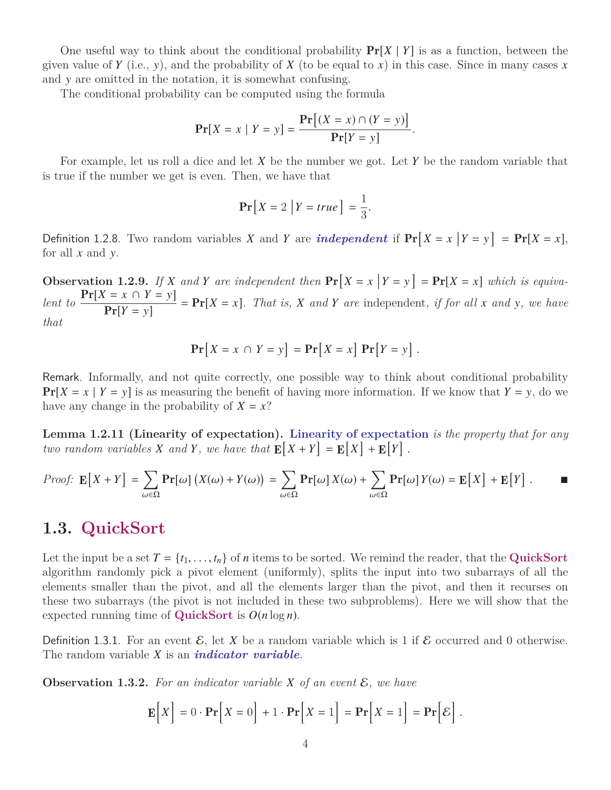One useful way to think about the conditional probability  $Pr[X|Y]$  is as a function, between the given value of *Y* (i.e., *y*), and the probability of *X* (to be equal to *x*) in this case. Since in many cases *x* and y are omitted in the notation, it is somewhat confusing.

The conditional probability can be computed using the formula

$$
\Pr[X = x | Y = y] = \frac{\Pr[(X = x) \cap (Y = y)]}{\Pr[Y = y]}
$$

For example, let us roll a dice and let *X* be the number we got. Let *Y* be the random variable that is true if the number we get is even. Then, we have that

$$
\Pr[X = 2 | Y = true] = \frac{1}{3}
$$

Definition 1.2.8. Two random variables *X* and *Y* are *independent* if  $\Pr[X = x | Y = y] = \Pr[X = x]$ , for all *x* and y.

**Observation 1.2.9.** If X and Y are independent then  $\Pr[X = x | Y = y] = \Pr[X = x]$  which is equiva*lent to*  $\frac{\Pr[X = x \cap Y = y]}{\Pr[X = x]}$  $Pr[Y = y]$  $= Pr[X = x]$ *. That is, X and Y are* independent, *if for all x and y*, *we have that*

$$
\Pr[X = x \cap Y = y] = \Pr[X = x] \Pr[Y = y]
$$

Remark. Informally, and not quite correctly, one possible way to think about conditional probability  $Pr[X = x | Y = y]$  is as measuring the benefit of having more information. If we know that  $Y = y$ , do we have any change in the probability of  $X = x$ ?

**Lemma 1.2.11 (Linearity of expectation). Linearity of expectation** *is the property that for any two random variables X* and *Y*, we have that  $\mathbf{E}[X+Y] = \mathbf{E}[X] + \mathbf{E}[Y]$ 

Proof: 
$$
\mathbf{E}[X+Y] = \sum_{\omega \in \Omega} \mathbf{Pr}[\omega] (X(\omega) + Y(\omega)) = \sum_{\omega \in \Omega} \mathbf{Pr}[\omega] X(\omega) + \sum_{\omega \in \Omega} \mathbf{Pr}[\omega] Y(\omega) = \mathbf{E}[X] + \mathbf{E}[Y].
$$

## **1.3. QuickSort**

Let the input be a set  $T = \{t_1, \ldots, t_n\}$  of *n* items to be sorted. We remind the reader, that the **QuickSort** algorithm randomly pick a pivot element (uniformly), splits the input into two subarrays of all the elements smaller than the pivot, and all the elements larger than the pivot, and then it recurses on these two subarrays (the pivot is not included in these two subproblems). Here we will show that the expected running time of **QuickSort** is  $O(n \log n)$ .

Definition 1.3.1. For an event  $\mathcal{E}$ , let X be a random variable which is 1 if  $\mathcal{E}$  occurred and 0 otherwise. The random variable *X* is an *indicator variable*.

**Observation 1.3.2.** For an indicator variable  $X$  of an event  $\mathcal{E}$ , we have

$$
\mathbf{E}[X] = 0 \cdot \mathbf{Pr}[X = 0] + 1 \cdot \mathbf{Pr}[X = 1] = \mathbf{Pr}[X = 1] = \mathbf{Pr}[\mathcal{E}].
$$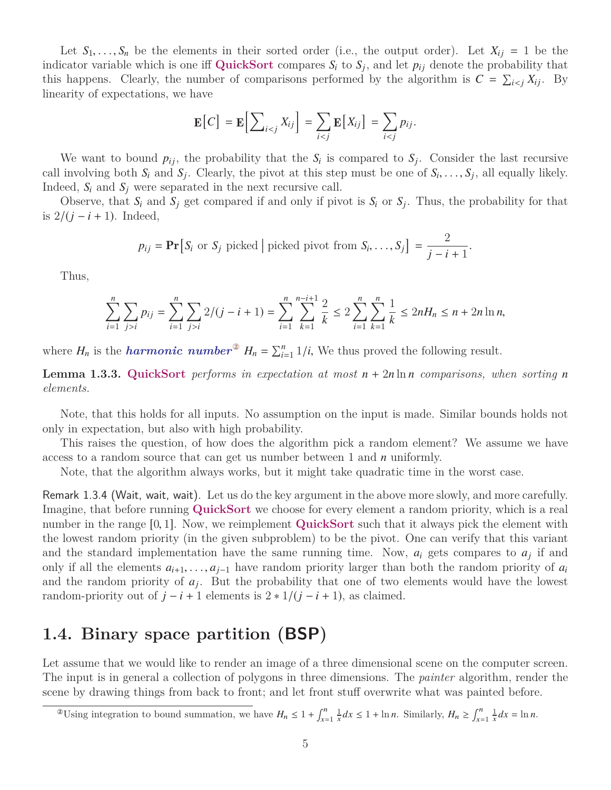Let  $S_1, \ldots, S_n$  be the elements in their sorted order (i.e., the output order). Let  $X_{ij} = 1$  be the indicator variable which is one iff QuickSort compares  $S_i$  to  $S_j$ , and let  $p_{ij}$  denote the probability that this happens. Clearly, the number of comparisons performed by the algorithm is  $C = \sum_{i \leq j} X_{ij}$ . By linearity of expostations, we have linearity of expectations, we have

$$
\mathbf{E}\big[C\big]=\mathbf{E}\Big[\sum_{i
$$

We want to bound  $p_{ij}$ , the probability that the  $S_i$  is compared to  $S_j$ . Consider the last recursive call involving both  $S_i$  and  $S_j$ . Clearly, the pivot at this step must be one of  $S_i, \ldots, S_j$ , all equally likely.<br>Indeed *S*<sub>c</sub> and *S*<sub>c</sub> were separated in the next recursive call Indeed,  $S_i$  and  $S_j$  were separated in the next recursive call.

Observe, that  $S_i$  and  $S_j$  get compared if and only if pivot is  $S_i$  or  $S_j$ . Thus, the probability for that is  $2/(j - i + 1)$ . Indeed,

$$
p_{ij} = \mathbf{Pr}\big[S_i \text{ or } S_j \text{ picked } \big| \text{ picked pivot from } S_i, \ldots, S_j\big] = \frac{2}{j - i + 1}.
$$

Thus,

$$
\sum_{i=1}^{n} \sum_{j>i} p_{ij} = \sum_{i=1}^{n} \sum_{j>i} 2/(j-i+1) = \sum_{i=1}^{n} \sum_{k=1}^{n-i+1} \frac{2}{k} \le 2 \sum_{i=1}^{n} \sum_{k=1}^{n} \frac{1}{k} \le 2nH_n \le n + 2n \ln n,
$$

where  $H_n$  is the *harmonic number*<sup>2</sup>  $H_n = \sum_{i=1}^n 1/i$ , We thus proved the following result.

**Lemma 1.3.3.** QuickSort *performs in expectation at most*  $n + 2n \ln n$  *comparisons, when sorting n elements.*

Note, that this holds for all inputs. No assumption on the input is made. Similar bounds holds not only in expectation, but also with high probability.

This raises the question, of how does the algorithm pick a random element? We assume we have access to a random source that can get us number between 1 and *n* uniformly.

Note, that the algorithm always works, but it might take quadratic time in the worst case.

Remark 1.3.4 (Wait, wait, wait). Let us do the key argument in the above more slowly, and more carefully. Imagine, that before running **QuickSort** we choose for every element a random priority, which is a real number in the range [0, <sup>1</sup>]. Now, we reimplement **QuickSort** such that it always pick the element with the lowest random priority (in the given subproblem) to be the pivot. One can verify that this variant and the standard implementation have the same running time. Now,  $a_i$  gets compares to  $a_j$  if and only if all the elements  $a_{i+1}, \ldots, a_{j-1}$  have random priority larger than both the random priority of  $a_i$ and the random priority of  $a_j$ . But the probability that one of two elements would have the lowest random-priority out of  $j - i + 1$  elements is  $2 * 1/(j - i + 1)$ , as claimed.

# **1.4. Binary space partition (BSP)**

Let assume that we would like to render an image of a three dimensional scene on the computer screen. The input is in general a collection of polygons in three dimensions. The *painter* algorithm, render the scene by drawing things from back to front; and let front stuff overwrite what was painted before.

<span id="page-4-0"></span><sup>&</sup>lt;sup>2</sup>Using integration to bound summation, we have  $H_n \leq 1 + \int_{x=1}^n$  $\frac{1}{x}dx \leq 1 + \ln n$ . Similarly,  $H_n \geq \int_{x=1}^n$  $\frac{1}{x}dx = \ln n.$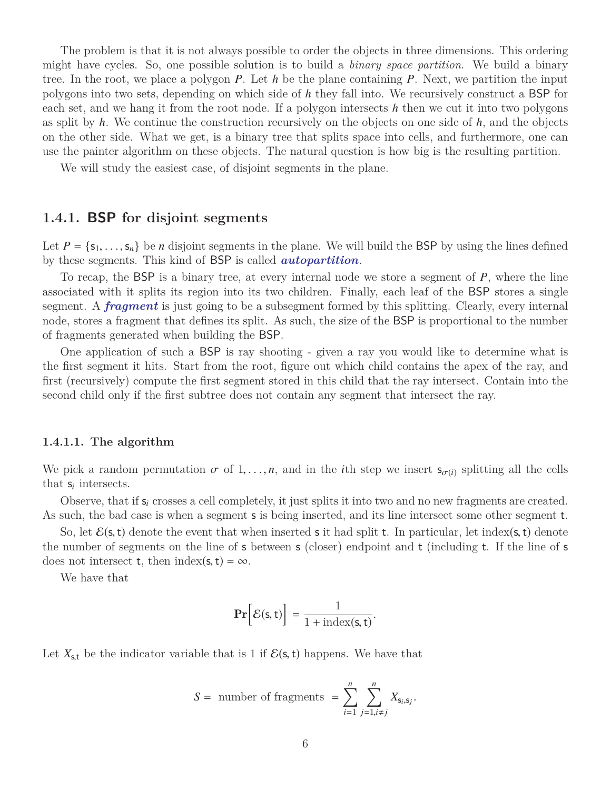The problem is that it is not always possible to order the objects in three dimensions. This ordering might have cycles. So, one possible solution is to build a *binary space partition*. We build a binary tree. In the root, we place a polygon *P*. Let *h* be the plane containing *P*. Next, we partition the input polygons into two sets, depending on which side of *h* they fall into. We recursively construct a BSP for each set, and we hang it from the root node. If a polygon intersects *h* then we cut it into two polygons as split by *h*. We continue the construction recursively on the objects on one side of *h*, and the objects on the other side. What we get, is a binary tree that splits space into cells, and furthermore, one can use the painter algorithm on these objects. The natural question is how big is the resulting partition.

We will study the easiest case, of disjoint segments in the plane.

#### **1.4.1. BSP for disjoint segments**

Let  $P = \{s_1, \ldots, s_n\}$  be *n* disjoint segments in the plane. We will build the BSP by using the lines defined by these segments. This kind of BSP is called *autopartition*.

To recap, the BSP is a binary tree, at every internal node we store a segment of *P*, where the line associated with it splits its region into its two children. Finally, each leaf of the BSP stores a single segment. A *fragment* is just going to be a subsegment formed by this splitting. Clearly, every internal node, stores a fragment that defines its split. As such, the size of the BSP is proportional to the number of fragments generated when building the BSP.

One application of such a BSP is ray shooting - given a ray you would like to determine what is the first segment it hits. Start from the root, figure out which child contains the apex of the ray, and first (recursively) compute the first segment stored in this child that the ray intersect. Contain into the second child only if the first subtree does not contain any segment that intersect the ray.

#### **1.4.1.1. The algorithm**

We pick a random permutation  $\sigma$  of 1, ..., *n*, and in the *i*th step we insert  $s_{\sigma(i)}$  splitting all the cells that  $s_i$  intersects.

Observe, that if s*<sup>i</sup>* crosses a cell completely, it just splits it into two and no new fragments are created. As such, the bad case is when a segment s is being inserted, and its line intersect some other segment t.

So, let  $\mathcal{E}(\mathsf{s},t)$  denote the event that when inserted s it had split t. In particular, let index( $\mathsf{s},t$ ) denote the number of segments on the line of s between s (closer) endpoint and t (including t. If the line of s does not intersect t, then index(s, t) =  $\infty$ .

We have that

$$
\Pr\left[\mathcal{E}(\mathsf{s},\mathsf{t})\right] = \frac{1}{1 + \text{index}(\mathsf{s},\mathsf{t})}
$$

Let  $X_{s,t}$  be the indicator variable that is 1 if  $\mathcal{E}(s,t)$  happens. We have that

$$
S = \text{ number of fragments } = \sum_{i=1}^{n} \sum_{j=1, i \neq j}^{n} X_{s_i, s_j}.
$$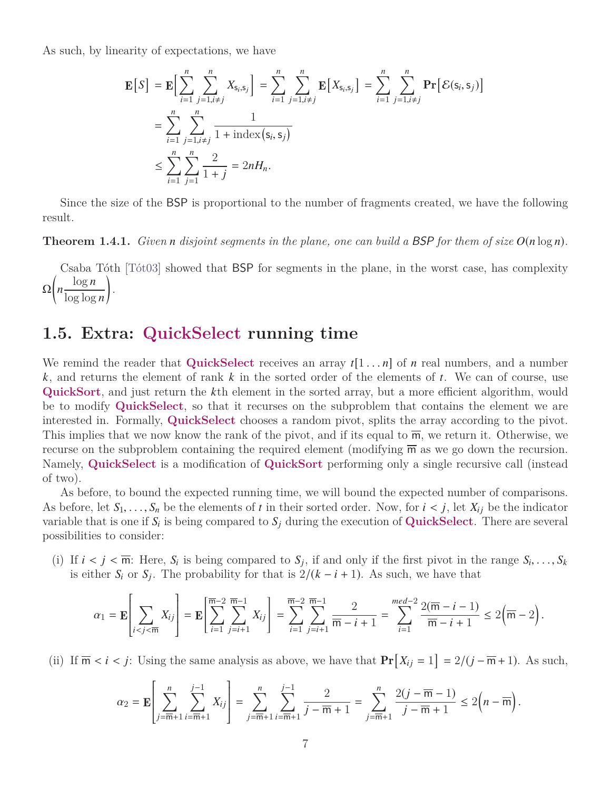As such, by linearity of expectations, we have

$$
\mathbf{E}[S] = \mathbf{E}\Big[\sum_{i=1}^{n} \sum_{j=1, i \neq j}^{n} X_{s_i, s_j}\Big] = \sum_{i=1}^{n} \sum_{j=1, i \neq j}^{n} \mathbf{E}[X_{s_i, s_j}] = \sum_{i=1}^{n} \sum_{j=1, i \neq j}^{n} \mathbf{Pr}\big[\mathcal{E}(s_i, s_j)\big]
$$
  
= 
$$
\sum_{i=1}^{n} \sum_{j=1, i \neq j}^{n} \frac{1}{1 + \text{index}(s_i, s_j)}
$$
  

$$
\leq \sum_{i=1}^{n} \sum_{j=1}^{n} \frac{2}{1+j} = 2nH_n.
$$

Since the size of the BSP is proportional to the number of fragments created, we have the following result.

**Theorem 1.4.1.** *Given n disjoint segments in the plane, one can build a BSP for them of size*  $O(n \log n)$ *.* 

Csaba Tóth [\[Tót03\]](#page-7-0) showed that BSP for segments in the plane, in the worst case, has complexity  $\Omega$ ĺ *n* log *n* log log *n* Ι .

## **1.5. Extra: QuickSelect running time**

We remind the reader that **QuickSelect** receives an array  $t[1 \dots n]$  of *n* real numbers, and a number *k*, and returns the element of rank *k* in the sorted order of the elements of *t*. We can of course, use **QuickSort**, and just return the *k*th element in the sorted array, but a more efficient algorithm, would be to modify **QuickSelect**, so that it recurses on the subproblem that contains the element we are interested in. Formally, **QuickSelect** chooses a random pivot, splits the array according to the pivot. This implies that we now know the rank of the pivot, and if its equal to  $\overline{m}$ , we return it. Otherwise, we recurse on the subproblem containing the required element (modifying  $\overline{m}$  as we go down the recursion. Namely, **QuickSelect** is a modification of **QuickSort** performing only a single recursive call (instead of two).

As before, to bound the expected running time, we will bound the expected number of comparisons. As before, let  $S_1, \ldots, S_n$  be the elements of *t* in their sorted order. Now, for  $i < j$ , let  $X_{ij}$  be the indicator variable that is one if  $S_i$  is being compared to  $S_j$  during the execution of **QuickSelect**. There are several possibilities to consider:

(i) If  $i < j < \overline{m}$ : Here,  $S_i$  is being compared to  $S_j$ , if and only if the first pivot in the range  $S_i, \ldots, S_k$ <br>is either  $S_i$  or  $S_j$ . The probability for that is  $2/(k - i + 1)$ . As such we have that is either  $S_i$  or  $S_j$ . The probability for that is  $2/(k-i+1)$ . As such, we have that

$$
\alpha_1 = \mathbf{E}\left[\sum_{i < j < \overline{m}} X_{ij}\right] = \mathbf{E}\left[\sum_{i=1}^{\overline{m}-2} \sum_{j=i+1}^{\overline{m}-1} X_{ij}\right] = \sum_{i=1}^{\overline{m}-2} \sum_{j=i+1}^{\overline{m}-1} \frac{2}{\overline{m}-i+1} = \sum_{i=1}^{med-2} \frac{2(\overline{m}-i-1)}{\overline{m}-i+1} \le 2(\overline{m}-2).
$$

(ii) If  $\overline{m} < i < j$ : Using the same analysis as above, we have that  $\Pr[X_{ij} = 1] = 2/(j - \overline{m} + 1)$ . As such,

$$
\alpha_2 = \mathbf{E} \left[ \sum_{j=\overline{m}+1}^{n} \sum_{i=\overline{m}+1}^{j-1} X_{ij} \right] = \sum_{j=\overline{m}+1}^{n} \sum_{i=\overline{m}+1}^{j-1} \frac{2}{j-\overline{m}+1} = \sum_{j=\overline{m}+1}^{n} \frac{2(j-\overline{m}-1)}{j-\overline{m}+1} \le 2\left(n-\overline{m}\right).
$$